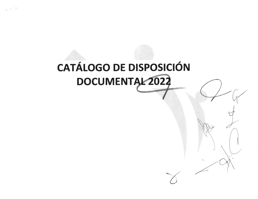## **CATÁLOGO DE DISPOSICIÓN** DOCUMENTAL 2022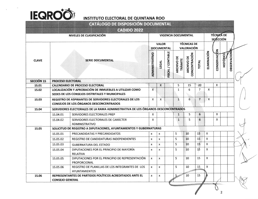

|                   |                                                                                 | CATÁLOGO DE DISPOSICIÓN DOCUMENTAL                                                                        |                                                                                                                                            |                                   |              |              |                                         |                |              |             |                                       |                    |  |  |
|-------------------|---------------------------------------------------------------------------------|-----------------------------------------------------------------------------------------------------------|--------------------------------------------------------------------------------------------------------------------------------------------|-----------------------------------|--------------|--------------|-----------------------------------------|----------------|--------------|-------------|---------------------------------------|--------------------|--|--|
|                   |                                                                                 | <b>CADIDO 2022</b>                                                                                        |                                                                                                                                            |                                   |              |              |                                         |                |              |             |                                       |                    |  |  |
|                   | NIVELES DE CLASIFICACIÓN                                                        |                                                                                                           |                                                                                                                                            | <b>VIGENCIA DOCUMENTAL</b>        |              |              |                                         |                |              |             | <b>TÉCNICA DE</b><br><b>SELECCIÓN</b> |                    |  |  |
|                   |                                                                                 |                                                                                                           |                                                                                                                                            | <b>VALOR</b><br><b>DOCUMENTAL</b> |              |              | <b>TÉCNICAS DE</b><br><b>VALORACIÓN</b> |                |              |             |                                       |                    |  |  |
| <b>CLAVE</b>      |                                                                                 | <b>SERIE DOCUMENTAL</b>                                                                                   | ELIMINACIÓN<br>FISCAL / CONTABLE<br>ADMINISTRATIVO<br>CONCENTRACIÓN<br>ARCHIVO DE<br>ARCHIVO DE<br><b>TRÀMITE</b><br><b>TOTAL</b><br>LEGAL |                                   |              |              |                                         |                |              | CONSERVACON | <b>HISTÓRICC</b>                      | <b>OBSERVACION</b> |  |  |
| <b>SECCIÓN 1S</b> | <b>PROCESO ELECTORAL</b>                                                        |                                                                                                           |                                                                                                                                            |                                   |              |              |                                         |                |              |             |                                       |                    |  |  |
| 1S.01             |                                                                                 | <b>CALENDARIO DE PROCESO ELECTORAL</b><br>LOCALIZACIÓN Y APROBACIÓN DE INMUEBLES A UTILIZAR COMO          |                                                                                                                                            | X                                 |              | 5            | 15                                      | 20             |              | X           |                                       |                    |  |  |
| <b>15.02</b>      | SEDES DE LOS CONSEJOS DISTRITALES Y MUNICIPALES                                 | $\mathsf{x}$                                                                                              |                                                                                                                                            |                                   | $\mathbf{1}$ | 6            | $\overline{7}$                          | X              |              |             |                                       |                    |  |  |
| <b>1S.03</b>      |                                                                                 | REGISTRO DE ASPIRANTES DE SERVIDORES ELECTORALES DE LOS<br><b>CONSEJOS DE LOS ÓRGANOS DESCONCENTRADOS</b> | X                                                                                                                                          | $\mathsf{x}$                      |              | $\mathbf{1}$ | 6                                       | $\overline{7}$ | $\mathsf{x}$ |             |                                       |                    |  |  |
| <b>15.04</b>      | SERVIDORES ELECTORALES DE LA RAMA ADMINISTRATIVA DE LOS ÓRGANOS DESCONCENTRADOS |                                                                                                           |                                                                                                                                            |                                   |              |              |                                         |                |              |             |                                       |                    |  |  |
|                   | 15.04.01                                                                        | SERVIDORES ELECTORALES PREP                                                                               | X                                                                                                                                          |                                   |              | $\mathbf{1}$ | 5                                       | 6              |              | X           |                                       |                    |  |  |
|                   | 15.04.02                                                                        | SERVIDORES ELECTORALES DE CARÁCTER<br><b>ADMINISTRATIVO</b>                                               | X                                                                                                                                          |                                   |              | $\mathbf{1}$ | 5                                       | 6              |              | X           |                                       |                    |  |  |
| <b>1S.05</b>      | SOLICITUD DE REGISTRO A DIPUTACIONES, AYUNTAMIENTOS Y GUBERNATURAS              |                                                                                                           |                                                                                                                                            |                                   |              |              |                                         |                |              |             |                                       |                    |  |  |
|                   | 1S.05.01                                                                        | PRECANDIDATAS Y PRECANDIDATOS                                                                             | x                                                                                                                                          | X                                 |              | 5            | 10                                      | 15             | X            |             |                                       |                    |  |  |
|                   | 15.05.02                                                                        | <b>REGISTRO DE CANDIDATURAS INDEPENDIENTES</b>                                                            | $\pmb{\chi}$                                                                                                                               | $\pmb{\times}$                    |              | 5            | 10                                      | 15             | X            |             |                                       |                    |  |  |
|                   | 15.05.03                                                                        | <b>GUBERNATURA DEL ESTADO</b>                                                                             | X                                                                                                                                          | x                                 |              | 5            | 10                                      | 15             | X            |             |                                       |                    |  |  |
|                   | 15.05.04                                                                        | DIPUTACIONES POR EL PRINCIPIO DE MAYORÍA<br><b>RELATIVA</b>                                               | X                                                                                                                                          | x                                 |              | 5            | 10                                      | 15             | Χ            |             |                                       |                    |  |  |
|                   | 1S.05.05                                                                        | DIPUTACIONES POR EL PRINCIPIO DE REPRESENTACIÓN<br>PROPORCIONAL                                           | X                                                                                                                                          | x                                 |              | 5            | 10                                      | 15             | X            |             |                                       |                    |  |  |
|                   | 15.05.06                                                                        | REGISTRO DE PLANILLAS DE LOS INTEGRANTES DE LOS<br><b>AYUNTAMIENTOS</b>                                   | x                                                                                                                                          | X                                 |              | 5            | 10                                      | 15             | X            |             |                                       |                    |  |  |
| <b>1S.06</b>      |                                                                                 | REPRESENTANTES DE PARTIDOS POLÍTICOS ACREDITADOS ANTE EL                                                  | X                                                                                                                                          | x                                 |              | $5 -$        | 10                                      | 15             |              |             |                                       |                    |  |  |
|                   | <b>CONSEJO GENERAL</b>                                                          |                                                                                                           |                                                                                                                                            |                                   |              |              |                                         |                |              |             |                                       |                    |  |  |